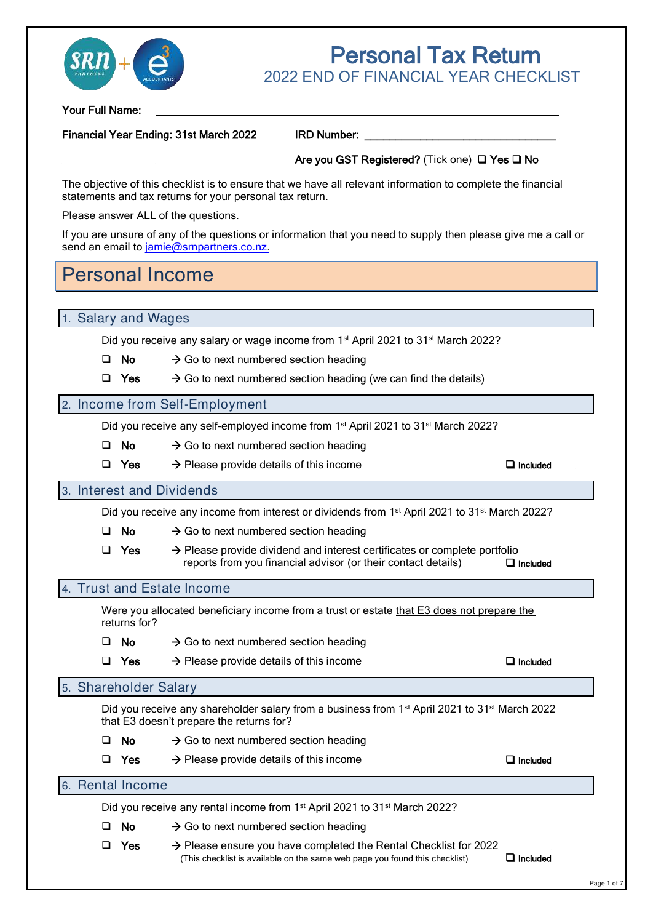

# Tax Return 2022 FND OF FINANCIAL YFAR CHECKLIST

#### Financial Year Ending: 31st March 2022 IRD Number:

#### Are you GST Registered? (Tick one) □ Yes □ No

\_\_\_\_\_\_\_\_\_\_\_\_\_\_\_\_\_\_\_\_\_\_\_\_\_\_\_\_\_\_\_

The objective of this checklist is to ensure that we have all relevant information to complete the financial statements and tax returns for your personal tax return.

If you are unsure of any of the questions or information that you need to supply then please give me a call or send an email to [jamie@srnpartners.co.nz.](mailto:jamie@e3accountants.co.nz?Subject=Personal%20Tax%20Return%20Checklist%20Query)

## Personal Income

|                       | Your Full Name: |                                                                                                                                                            |                                                               |
|-----------------------|-----------------|------------------------------------------------------------------------------------------------------------------------------------------------------------|---------------------------------------------------------------|
|                       |                 | Financial Year Ending: 31st March 2022                                                                                                                     | <b>IRD Number:</b>                                            |
|                       |                 |                                                                                                                                                            | Are you GST Registered? (Tick one) □ Ye                       |
|                       |                 | The objective of this checklist is to ensure that we have all relevant information to complete<br>statements and tax returns for your personal tax return. |                                                               |
|                       |                 | Please answer ALL of the questions.                                                                                                                        |                                                               |
|                       |                 | If you are unsure of any of the questions or information that you need to supply then please<br>send an email to jamie@srnpartners.co.nz.                  |                                                               |
|                       |                 | <b>Personal Income</b>                                                                                                                                     |                                                               |
| 1. Salary and Wages   |                 |                                                                                                                                                            |                                                               |
|                       |                 | Did you receive any salary or wage income from 1 <sup>st</sup> April 2021 to 31 <sup>st</sup> March 2022?                                                  |                                                               |
|                       | No.             | $\rightarrow$ Go to next numbered section heading                                                                                                          |                                                               |
| ⊔                     | <b>Yes</b>      | $\rightarrow$ Go to next numbered section heading (we can find the details)                                                                                |                                                               |
|                       |                 | 2. Income from Self-Employment                                                                                                                             |                                                               |
|                       |                 | Did you receive any self-employed income from 1 <sup>st</sup> April 2021 to 31 <sup>st</sup> March 2022?                                                   |                                                               |
|                       | <b>No</b>       | $\rightarrow$ Go to next numbered section heading                                                                                                          |                                                               |
| ⊔                     | <b>Yes</b>      | $\rightarrow$ Please provide details of this income                                                                                                        |                                                               |
|                       |                 | 3. Interest and Dividends                                                                                                                                  |                                                               |
|                       |                 | Did you receive any income from interest or dividends from 1 <sup>st</sup> April 2021 to 31 <sup>st</sup> Ma                                               |                                                               |
| ◻                     | No              | $\rightarrow$ Go to next numbered section heading                                                                                                          |                                                               |
| ⊔                     | Yes             | $\rightarrow$ Please provide dividend and interest certificates or complete portl                                                                          | reports from you financial advisor (or their contact details) |
|                       |                 | 4. Trust and Estate Income                                                                                                                                 |                                                               |
|                       | returns for?    | Were you allocated beneficiary income from a trust or estate that E3 does not prep                                                                         |                                                               |
| ப                     | No              | $\rightarrow$ Go to next numbered section heading                                                                                                          |                                                               |
| ப                     | Yes             | $\rightarrow$ Please provide details of this income                                                                                                        |                                                               |
| 5. Shareholder Salary |                 |                                                                                                                                                            |                                                               |
|                       |                 | Did you receive any shareholder salary from a business from 1 <sup>st</sup> April 2021 to 31 <sup>st</sup> I<br>that E3 doesn't prepare the returns for?   |                                                               |
| ப                     | No              | $\rightarrow$ Go to next numbered section heading                                                                                                          |                                                               |
|                       | <b>Yes</b>      | $\rightarrow$ Please provide details of this income                                                                                                        |                                                               |
| 6. Rental Income      |                 |                                                                                                                                                            |                                                               |
|                       |                 | Did you receive any rental income from 1 <sup>st</sup> April 2021 to 31 <sup>st</sup> March 2022?                                                          |                                                               |
|                       | No.             | $\rightarrow$ Go to next numbered section heading                                                                                                          |                                                               |
|                       |                 | $\rightarrow$ Please ensure you have completed the Rental Checklist for 2022                                                                               |                                                               |

#### 2. Income from Self-Employment

- No  $\rightarrow$  Go to next numbered section heading
- Yes  $\rightarrow$  Please provide details of this income

#### 3. Interest and Dividends

Did you receive any income from interest or dividends from 1<sup>st</sup> April 2021 to 31<sup>st</sup> March 2022?

- No  $\rightarrow$  Go to next numbered section heading
- Yes reports from you financial advisor (or their contact details) Included  $\rightarrow$  Please provide dividend and interest certificates or complete portfolio

#### 4. Trust and Estate Income

Were you allocated beneficiary income from a trust or estate that E3 does not prepare the returns for?

- No  $\rightarrow$  Go to next numbered section heading
- Yes  $\rightarrow$  Please provide details of this income  $\Box$  Included

#### 5. Shareholder Salary

Did you receive any shareholder salary from a business from 1<sup>st</sup> April 2021 to 31<sup>st</sup> March 2022 that E3 doesn't prepare the returns for?

- No  $\rightarrow$  Go to next numbered section heading
- Yes  $\rightarrow$  Please provide details of this income

#### Included

 $\Box$  Included

## 6. Rental Income

- No  $\rightarrow$  Go to next numbered section heading
- Yes  $\Box$  Included  $\rightarrow$  Please ensure you have completed the Rental Checklist for 2022 (This checklist is available on the same web page you found this checklist)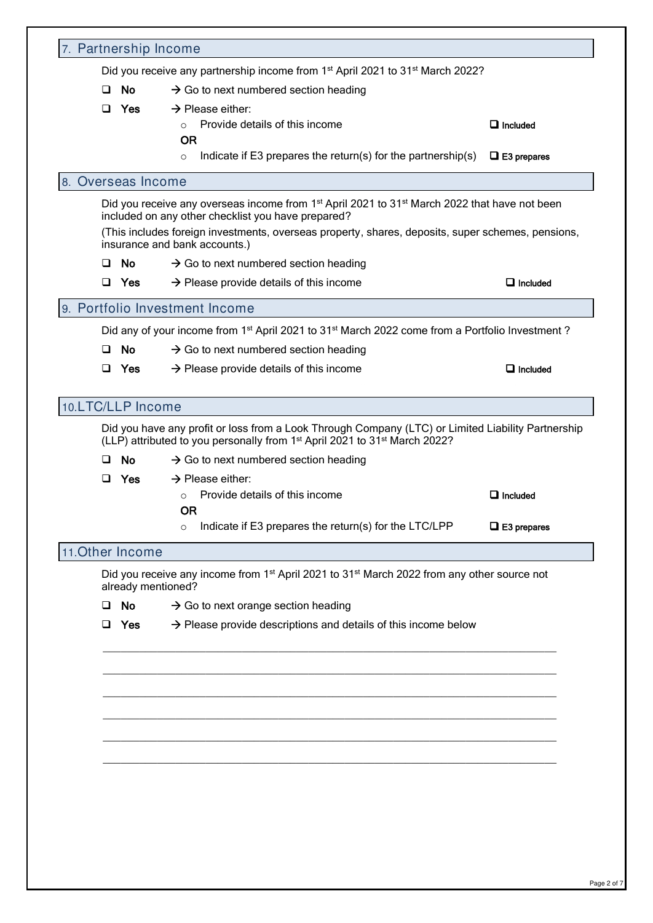| 7. Partnership Income |                                                                                                                                                                             |                    |
|-----------------------|-----------------------------------------------------------------------------------------------------------------------------------------------------------------------------|--------------------|
|                       | Did you receive any partnership income from 1 <sup>st</sup> April 2021 to 31 <sup>st</sup> March 2022?                                                                      |                    |
| No<br>ப               | $\rightarrow$ Go to next numbered section heading                                                                                                                           |                    |
| <b>Yes</b><br>$\Box$  | $\rightarrow$ Please either:<br>Provide details of this income                                                                                                              | $\Box$ Included    |
|                       | <b>OR</b>                                                                                                                                                                   |                    |
|                       | Indicate if E3 prepares the return(s) for the partnership(s)<br>$\circ$                                                                                                     | $\Box$ E3 prepares |
| 8. Overseas Income    |                                                                                                                                                                             |                    |
|                       | Did you receive any overseas income from 1 <sup>st</sup> April 2021 to 31 <sup>st</sup> March 2022 that have not been<br>included on any other checklist you have prepared? |                    |
|                       | (This includes foreign investments, overseas property, shares, deposits, super schemes, pensions,<br>insurance and bank accounts.)                                          |                    |
| No.<br>ப              | $\rightarrow$ Go to next numbered section heading                                                                                                                           |                    |
| $\Box$<br>Yes         | $\rightarrow$ Please provide details of this income                                                                                                                         | $\Box$ Included    |
|                       | 9. Portfolio Investment Income                                                                                                                                              |                    |
|                       | Did any of your income from 1 <sup>st</sup> April 2021 to 31 <sup>st</sup> March 2022 come from a Portfolio Investment?                                                     |                    |
| <b>No</b><br>ப        | $\rightarrow$ Go to next numbered section heading                                                                                                                           |                    |
| Yes<br>⊔              | $\rightarrow$ Please provide details of this income                                                                                                                         | $\Box$ Included    |
| 10.LTC/LLP Income     |                                                                                                                                                                             |                    |
|                       | Did you have any profit or loss from a Look Through Company (LTC) or Limited Liability Partnership                                                                          |                    |
|                       | (LLP) attributed to you personally from 1 <sup>st</sup> April 2021 to 31 <sup>st</sup> March 2022?                                                                          |                    |
| No                    | $\rightarrow$ Go to next numbered section heading                                                                                                                           |                    |
| <b>Yes</b><br>ப       | $\rightarrow$ Please either:                                                                                                                                                |                    |
|                       | Provide details of this income<br>$\circ$<br><b>OR</b>                                                                                                                      | $\Box$ Included    |
|                       | Indicate if E3 prepares the return(s) for the LTC/LPP                                                                                                                       | $\Box$ E3 prepares |
|                       |                                                                                                                                                                             |                    |
| 11. Other Income      |                                                                                                                                                                             |                    |
| already mentioned?    | Did you receive any income from 1 <sup>st</sup> April 2021 to 31 <sup>st</sup> March 2022 from any other source not                                                         |                    |
| No<br>ப               | $\rightarrow$ Go to next orange section heading                                                                                                                             |                    |
| Yes<br>$\Box$         | $\rightarrow$ Please provide descriptions and details of this income below                                                                                                  |                    |
|                       |                                                                                                                                                                             |                    |
|                       |                                                                                                                                                                             |                    |
|                       |                                                                                                                                                                             |                    |
|                       |                                                                                                                                                                             |                    |
|                       |                                                                                                                                                                             |                    |
|                       |                                                                                                                                                                             |                    |
|                       |                                                                                                                                                                             |                    |
|                       |                                                                                                                                                                             |                    |
|                       |                                                                                                                                                                             |                    |
|                       |                                                                                                                                                                             |                    |
|                       |                                                                                                                                                                             |                    |
|                       |                                                                                                                                                                             |                    |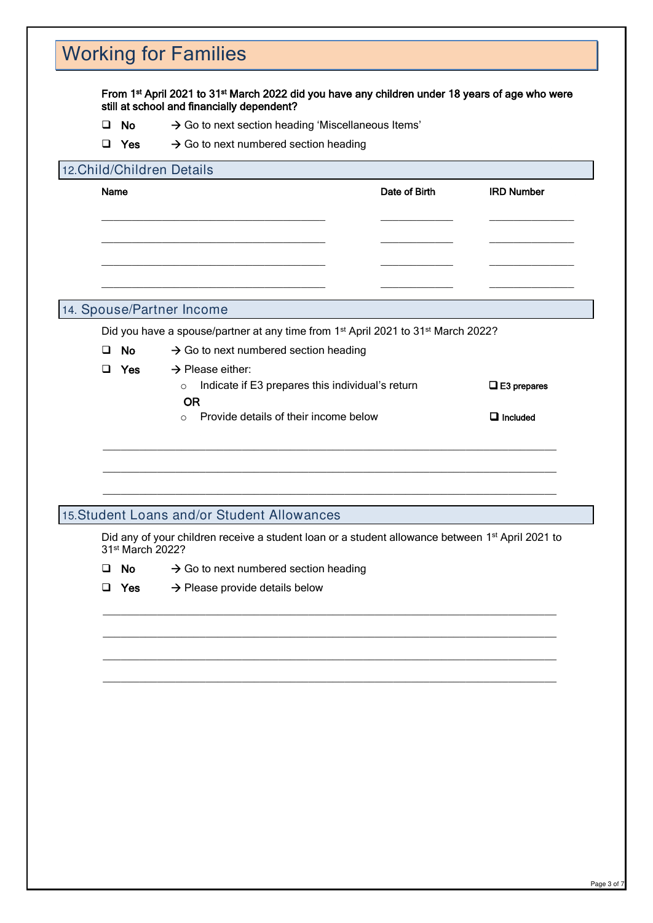# Working for Families

#### From 1st April 2021 to 31st March 2022 did you have any children under 18 years of age who were still at school and financially dependent?

- No  $\rightarrow$  Go to next section heading 'Miscellaneous Items'
- Yes  $\rightarrow$  Go to next numbered section heading

#### 12.Child/Children Details

|   | $\Box$ Yes                          | $\rightarrow$ Go to next numbered section heading                                                            |                       |
|---|-------------------------------------|--------------------------------------------------------------------------------------------------------------|-----------------------|
|   |                                     | 12. Child/Children Details                                                                                   |                       |
|   | Name                                | Date of Birth                                                                                                | <b>IRD Number</b>     |
|   |                                     |                                                                                                              |                       |
|   |                                     |                                                                                                              |                       |
|   |                                     |                                                                                                              |                       |
|   |                                     |                                                                                                              |                       |
|   |                                     | 14. Spouse/Partner Income                                                                                    |                       |
|   |                                     | Did you have a spouse/partner at any time from 1 <sup>st</sup> April 2021 to 31 <sup>st</sup> March 2022?    |                       |
| □ | No                                  | $\rightarrow$ Go to next numbered section heading                                                            |                       |
|   | $\Box$ Yes                          | $\rightarrow$ Please either:                                                                                 |                       |
|   |                                     | Indicate if E3 prepares this individual's return<br>$\circ$                                                  | $\square$ E3 prepares |
|   |                                     | <b>OR</b><br>Provide details of their income below<br>$\circ$                                                | $\Box$ Included       |
|   |                                     |                                                                                                              |                       |
|   |                                     |                                                                                                              |                       |
|   |                                     |                                                                                                              |                       |
|   |                                     |                                                                                                              |                       |
|   |                                     |                                                                                                              |                       |
|   |                                     | 15. Student Loans and/or Student Allowances                                                                  |                       |
|   |                                     | Did any of your children receive a student loan or a student allowance between 1 <sup>st</sup> April 2021 to |                       |
| u | 31 <sup>st</sup> March 2022?<br>No. |                                                                                                              |                       |
|   | □ Yes                               | $\rightarrow$ Go to next numbered section heading                                                            |                       |
|   |                                     | $\rightarrow$ Please provide details below                                                                   |                       |
|   |                                     |                                                                                                              |                       |
|   |                                     |                                                                                                              |                       |
|   |                                     |                                                                                                              |                       |
|   |                                     |                                                                                                              |                       |
|   |                                     |                                                                                                              |                       |
|   |                                     |                                                                                                              |                       |
|   |                                     |                                                                                                              |                       |
|   |                                     |                                                                                                              |                       |
|   |                                     |                                                                                                              |                       |
|   |                                     |                                                                                                              |                       |
|   |                                     |                                                                                                              |                       |
|   |                                     |                                                                                                              |                       |
|   |                                     |                                                                                                              |                       |

#### 14. Spouse/Partner Income

|  |  | Did you have a spouse/partner at any time from 1 <sup>st</sup> April 2021 to 31 <sup>st</sup> March 2022? |  |  |  |  |  |
|--|--|-----------------------------------------------------------------------------------------------------------|--|--|--|--|--|
|--|--|-----------------------------------------------------------------------------------------------------------|--|--|--|--|--|

- Yes  $\rightarrow$  Please either:
	- o Indicate if E3 prepares this individual's return  $\square$  OR Included □ E3 prepares o Provide details of their income below

#### 15.Student Loans and/or Student Allowances

- No  $\rightarrow$  Go to next numbered section heading
- Yes  $\rightarrow$  Please provide details below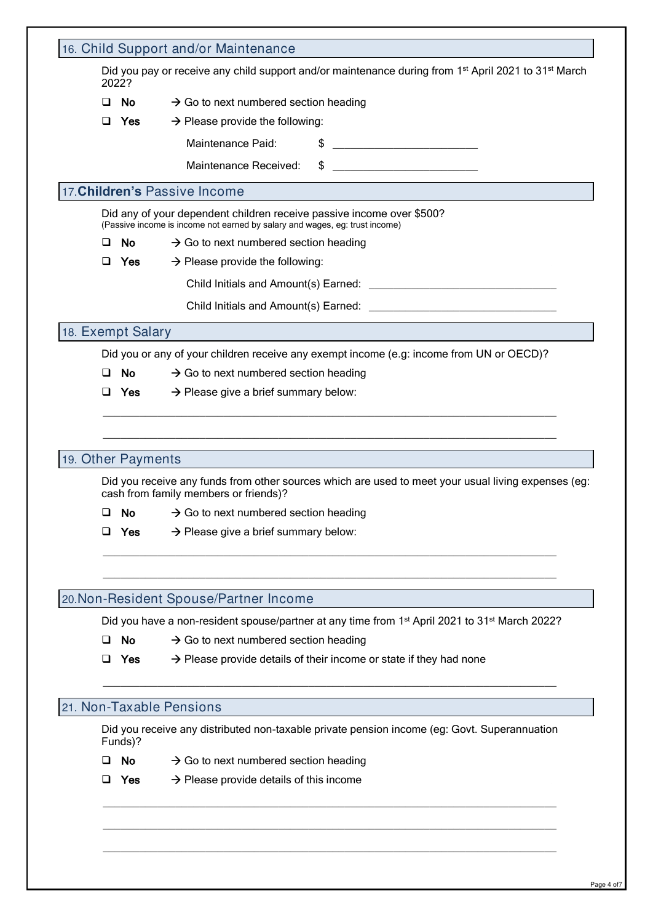|   | 2022?                 | Did you pay or receive any child support and/or maintenance during from 1 <sup>st</sup> April 2021 to 31 <sup>st</sup> March                                                                                                   |
|---|-----------------------|--------------------------------------------------------------------------------------------------------------------------------------------------------------------------------------------------------------------------------|
| ப | No.                   | $\rightarrow$ Go to next numbered section heading                                                                                                                                                                              |
| ப | Yes                   | $\rightarrow$ Please provide the following:                                                                                                                                                                                    |
|   |                       | $\frac{1}{2}$<br>Maintenance Paid:                                                                                                                                                                                             |
|   |                       | $\frac{1}{2}$<br>Maintenance Received:                                                                                                                                                                                         |
|   |                       | 17. Children's Passive Income                                                                                                                                                                                                  |
|   |                       | Did any of your dependent children receive passive income over \$500?<br>(Passive income is income not earned by salary and wages, eg: trust income)                                                                           |
| ப | <b>No</b>             | $\rightarrow$ Go to next numbered section heading                                                                                                                                                                              |
| ப | Yes                   | $\rightarrow$ Please provide the following:                                                                                                                                                                                    |
|   |                       |                                                                                                                                                                                                                                |
|   |                       | Child Initials and Amount(s) Earned: Note that the control of the control of the control of the control of the control of the control of the control of the control of the control of the control of the control of the contro |
|   | 18. Exempt Salary     |                                                                                                                                                                                                                                |
|   |                       | Did you or any of your children receive any exempt income (e.g: income from UN or OECD)?                                                                                                                                       |
| ◻ | No                    | $\rightarrow$ Go to next numbered section heading                                                                                                                                                                              |
|   | Yes<br>ப              | $\rightarrow$ Please give a brief summary below:                                                                                                                                                                               |
|   | 19. Other Payments    |                                                                                                                                                                                                                                |
| ⊔ | <b>No</b><br>u<br>Yes | cash from family members or friends)?<br>$\rightarrow$ Go to next numbered section heading<br>$\rightarrow$ Please give a brief summary below:                                                                                 |
|   |                       |                                                                                                                                                                                                                                |
|   |                       | Did you receive any funds from other sources which are used to meet your usual living expenses (eg:<br>20. Non-Resident Spouse/Partner Income                                                                                  |
|   |                       |                                                                                                                                                                                                                                |
|   | <b>No</b><br>$\Box$   | $\rightarrow$ Go to next numbered section heading                                                                                                                                                                              |
| ◻ | Yes                   | Did you have a non-resident spouse/partner at any time from 1 <sup>st</sup> April 2021 to 31 <sup>st</sup> March 2022?<br>$\rightarrow$ Please provide details of their income or state if they had none                       |
|   |                       | 21. Non-Taxable Pensions                                                                                                                                                                                                       |
|   | Funds)?               | Did you receive any distributed non-taxable private pension income (eg: Govt. Superannuation                                                                                                                                   |
|   | No<br>◻               | $\rightarrow$ Go to next numbered section heading                                                                                                                                                                              |
| ப | Yes                   | $\rightarrow$ Please provide details of this income                                                                                                                                                                            |
|   |                       |                                                                                                                                                                                                                                |
|   |                       |                                                                                                                                                                                                                                |

- No  $\rightarrow$  Go to next numbered section heading
- Yes  $\rightarrow$  Please provide details of this income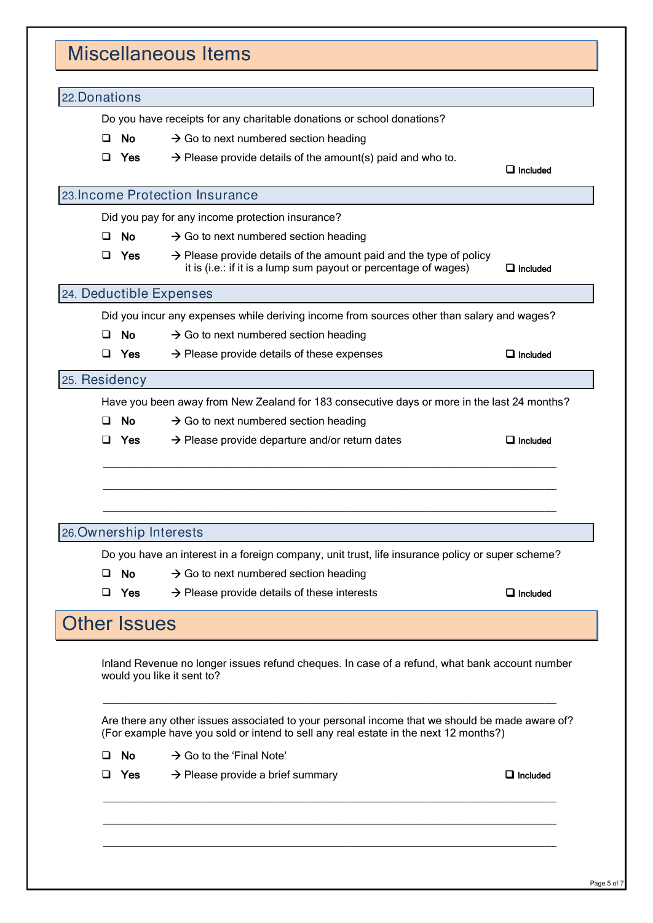# Miscellaneous Items 22.Donations Do you have receipts for any charitable donations or school donations?  $\Box$  No  $\rightarrow$  Go to next numbered section heading  $\Box$  Yes  $\rightarrow$  Please provide details of the amount(s) paid and who to. **Included** in the contract of the contract of the contract of the contract of the contract of the contract of the contract of the contract of the contract of the contract of the contract of the contract of the contract of 23.Income Protection Insurance Did you pay for any income protection insurance?  $\Box$  No  $\rightarrow$  Go to next numbered section heading  $\Box$  Yes  $\rightarrow$  Please provide details of the amount paid and the type of policy it is (i.e.: if it is a lump sum payout or percentage of wages)  $\Box$  Included 24. Deductible Expenses

Did you incur any expenses while deriving income from sources other than salary and wages?

- $\Box$  No  $\rightarrow$  Go to next numbered section heading
- $\Box$  Yes  $\rightarrow$  Please provide details of these expenses  $\Box$  Included

### 25. Residency

Have you been away from New Zealand for 183 consecutive days or more in the last 24 months?

\_\_\_\_\_\_\_\_\_\_\_\_\_\_\_\_\_\_\_\_\_\_\_\_\_\_\_\_\_\_\_\_\_\_\_\_\_\_\_\_\_\_\_\_\_\_\_\_\_\_\_\_\_\_\_\_\_\_\_\_\_\_\_\_\_\_\_\_\_\_\_\_\_\_\_

\_\_\_\_\_\_\_\_\_\_\_\_\_\_\_\_\_\_\_\_\_\_\_\_\_\_\_\_\_\_\_\_\_\_\_\_\_\_\_\_\_\_\_\_\_\_\_\_\_\_\_\_\_\_\_\_\_\_\_\_\_\_\_\_\_\_\_\_\_\_\_\_\_\_\_

\_\_\_\_\_\_\_\_\_\_\_\_\_\_\_\_\_\_\_\_\_\_\_\_\_\_\_\_\_\_\_\_\_\_\_\_\_\_\_\_\_\_\_\_\_\_\_\_\_\_\_\_\_\_\_\_\_\_\_\_\_\_\_\_\_\_\_\_\_\_\_\_\_\_\_

- $\Box$  No  $\rightarrow$  Go to next numbered section heading
- $\Box$  Yes  $\rightarrow$  Please provide departure and/or return dates  $\Box$  Included

## 26.Ownership Interests

Do you have an interest in a foreign company, unit trust, life insurance policy or super scheme?

- $\Box$  No  $\rightarrow$  Go to next numbered section heading
- $\Box$  Yes  $\rightarrow$  Please provide details of these interests  $\Box$  Included

## **Other Issues**

 $\overline{a}$ 

 $\overline{a}$ 

 $\overline{a}$ 

Inland Revenue no longer issues refund cheques. In case of a refund, what bank account number would you like it sent to?

 $\overline{\phantom{a}}$  ,  $\overline{\phantom{a}}$  ,  $\overline{\phantom{a}}$  ,  $\overline{\phantom{a}}$  ,  $\overline{\phantom{a}}$  ,  $\overline{\phantom{a}}$  ,  $\overline{\phantom{a}}$  ,  $\overline{\phantom{a}}$  ,  $\overline{\phantom{a}}$  ,  $\overline{\phantom{a}}$  ,  $\overline{\phantom{a}}$  ,  $\overline{\phantom{a}}$  ,  $\overline{\phantom{a}}$  ,  $\overline{\phantom{a}}$  ,  $\overline{\phantom{a}}$  ,  $\overline{\phantom{a}}$ 

 $\overline{\phantom{a}}$  ,  $\overline{\phantom{a}}$  ,  $\overline{\phantom{a}}$  ,  $\overline{\phantom{a}}$  ,  $\overline{\phantom{a}}$  ,  $\overline{\phantom{a}}$  ,  $\overline{\phantom{a}}$  ,  $\overline{\phantom{a}}$  ,  $\overline{\phantom{a}}$  ,  $\overline{\phantom{a}}$  ,  $\overline{\phantom{a}}$  ,  $\overline{\phantom{a}}$  ,  $\overline{\phantom{a}}$  ,  $\overline{\phantom{a}}$  ,  $\overline{\phantom{a}}$  ,  $\overline{\phantom{a}}$ 

 $\overline{\phantom{a}}$  ,  $\overline{\phantom{a}}$  ,  $\overline{\phantom{a}}$  ,  $\overline{\phantom{a}}$  ,  $\overline{\phantom{a}}$  ,  $\overline{\phantom{a}}$  ,  $\overline{\phantom{a}}$  ,  $\overline{\phantom{a}}$  ,  $\overline{\phantom{a}}$  ,  $\overline{\phantom{a}}$  ,  $\overline{\phantom{a}}$  ,  $\overline{\phantom{a}}$  ,  $\overline{\phantom{a}}$  ,  $\overline{\phantom{a}}$  ,  $\overline{\phantom{a}}$  ,  $\overline{\phantom{a}}$ 

 $\overline{\phantom{a}}$  ,  $\overline{\phantom{a}}$  ,  $\overline{\phantom{a}}$  ,  $\overline{\phantom{a}}$  ,  $\overline{\phantom{a}}$  ,  $\overline{\phantom{a}}$  ,  $\overline{\phantom{a}}$  ,  $\overline{\phantom{a}}$  ,  $\overline{\phantom{a}}$  ,  $\overline{\phantom{a}}$  ,  $\overline{\phantom{a}}$  ,  $\overline{\phantom{a}}$  ,  $\overline{\phantom{a}}$  ,  $\overline{\phantom{a}}$  ,  $\overline{\phantom{a}}$  ,  $\overline{\phantom{a}}$ 

Are there any other issues associated to your personal income that we should be made aware of? (For example have you sold or intend to sell any real estate in the next 12 months?)

- No  $\rightarrow$  Go to the 'Final Note'
- Yes  $\rightarrow$  Please provide a brief summary

 $\Box$  Included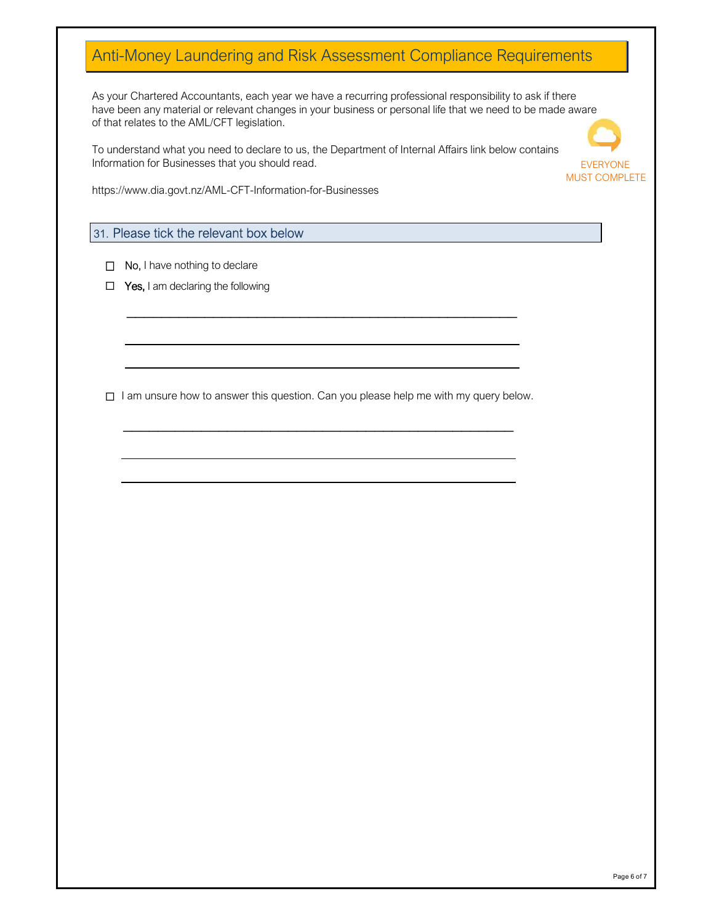## Anti-Money Laundering and Risk Assessment Compliance Requirements

As your Chartered Accountants, each year we have a recurring professional responsibility to ask if there have been any material or relevant changes in your business or personal life that we need to be made aware of that relates to the AML/CFT legislation.

To understand what you need to declare to us, the Department of Internal Affairs link below contains Information for Businesses that you should read.



https://www.dia.govt.nz/AML-CFT-Information-for-Businesses

### 31. Please tick the relevant box below

- □ No, I have nothing to declare
- $\Box$  Yes, I am declaring the following

 $\Box$  I am unsure how to answer this question. Can you please help me with my query below.

\_\_\_\_\_\_\_\_\_\_\_\_\_\_\_\_\_\_\_\_\_\_\_\_\_\_\_\_\_\_\_\_\_\_\_\_\_\_\_\_\_\_\_\_\_

\_\_\_\_\_\_\_\_\_\_\_\_\_\_\_\_\_\_\_\_\_\_\_\_\_\_\_\_\_\_\_\_\_\_\_\_\_\_\_\_\_\_\_\_\_